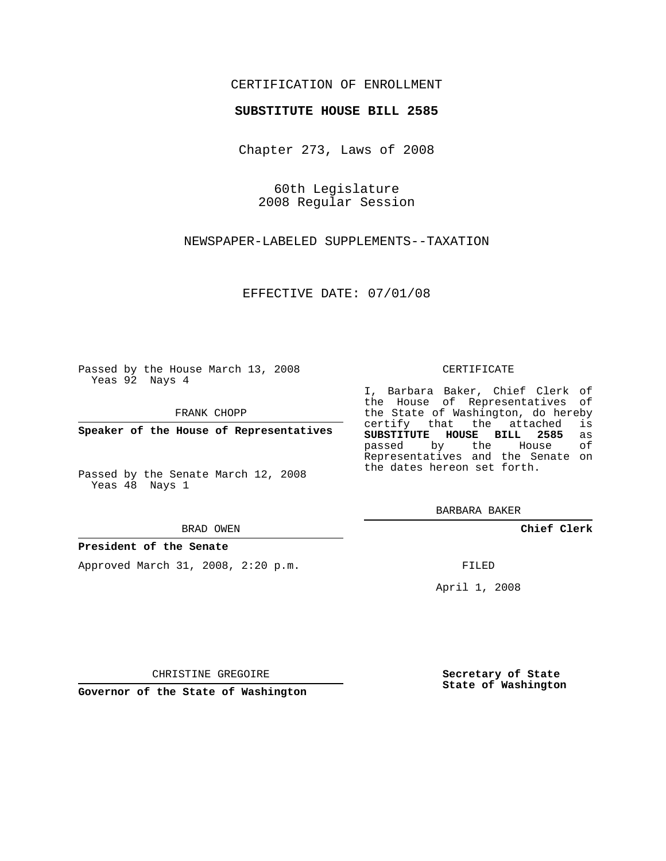## CERTIFICATION OF ENROLLMENT

### **SUBSTITUTE HOUSE BILL 2585**

Chapter 273, Laws of 2008

60th Legislature 2008 Regular Session

NEWSPAPER-LABELED SUPPLEMENTS--TAXATION

EFFECTIVE DATE: 07/01/08

Passed by the House March 13, 2008 Yeas 92 Nays 4

FRANK CHOPP

**Speaker of the House of Representatives**

Passed by the Senate March 12, 2008 Yeas 48 Nays 1

BRAD OWEN

#### **President of the Senate**

Approved March 31, 2008, 2:20 p.m.

#### CERTIFICATE

I, Barbara Baker, Chief Clerk of the House of Representatives of the State of Washington, do hereby<br>certify that the attached is certify that the attached **SUBSTITUTE HOUSE BILL 2585** as passed by the House Representatives and the Senate on the dates hereon set forth.

BARBARA BAKER

**Chief Clerk**

FILED

April 1, 2008

CHRISTINE GREGOIRE

**Governor of the State of Washington**

**Secretary of State State of Washington**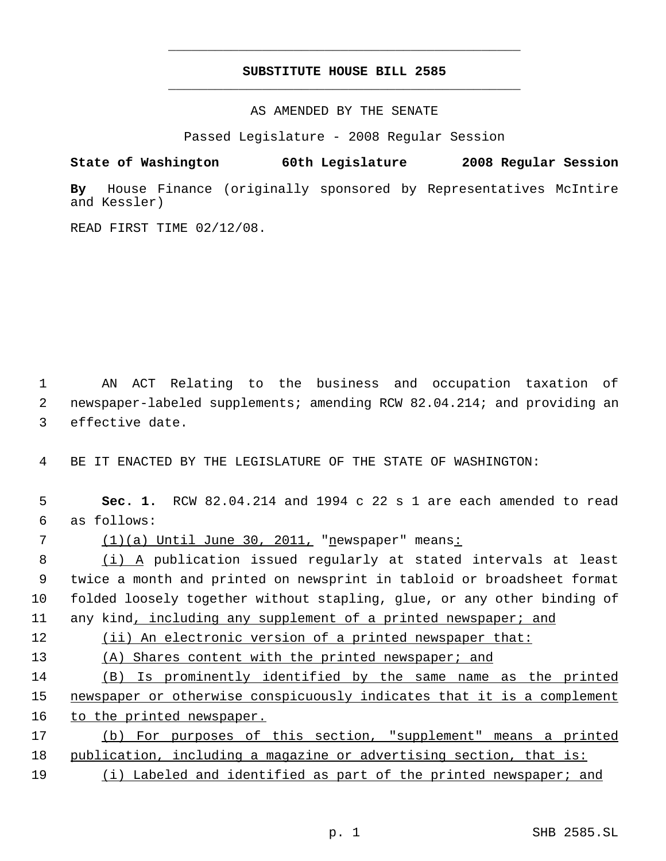# **SUBSTITUTE HOUSE BILL 2585** \_\_\_\_\_\_\_\_\_\_\_\_\_\_\_\_\_\_\_\_\_\_\_\_\_\_\_\_\_\_\_\_\_\_\_\_\_\_\_\_\_\_\_\_\_

\_\_\_\_\_\_\_\_\_\_\_\_\_\_\_\_\_\_\_\_\_\_\_\_\_\_\_\_\_\_\_\_\_\_\_\_\_\_\_\_\_\_\_\_\_

AS AMENDED BY THE SENATE

Passed Legislature - 2008 Regular Session

**State of Washington 60th Legislature 2008 Regular Session**

**By** House Finance (originally sponsored by Representatives McIntire and Kessler)

READ FIRST TIME 02/12/08.

 1 AN ACT Relating to the business and occupation taxation of 2 newspaper-labeled supplements; amending RCW 82.04.214; and providing an 3 effective date.

4 BE IT ENACTED BY THE LEGISLATURE OF THE STATE OF WASHINGTON:

 5 **Sec. 1.** RCW 82.04.214 and 1994 c 22 s 1 are each amended to read 6 as follows: 7 (1)(a) Until June 30, 2011, "newspaper" means: 8 (i) A publication issued regularly at stated intervals at least 9 twice a month and printed on newsprint in tabloid or broadsheet format 10 folded loosely together without stapling, glue, or any other binding of 11 any kind, including any supplement of a printed newspaper; and 12 (ii) An electronic version of a printed newspaper that: 13 (A) Shares content with the printed newspaper; and 14 (B) Is prominently identified by the same name as the printed 15 newspaper or otherwise conspicuously indicates that it is a complement 16 to the printed newspaper. 17 (b) For purposes of this section, "supplement" means a printed 18 publication, including a magazine or advertising section, that is: 19 (i) Labeled and identified as part of the printed newspaper; and